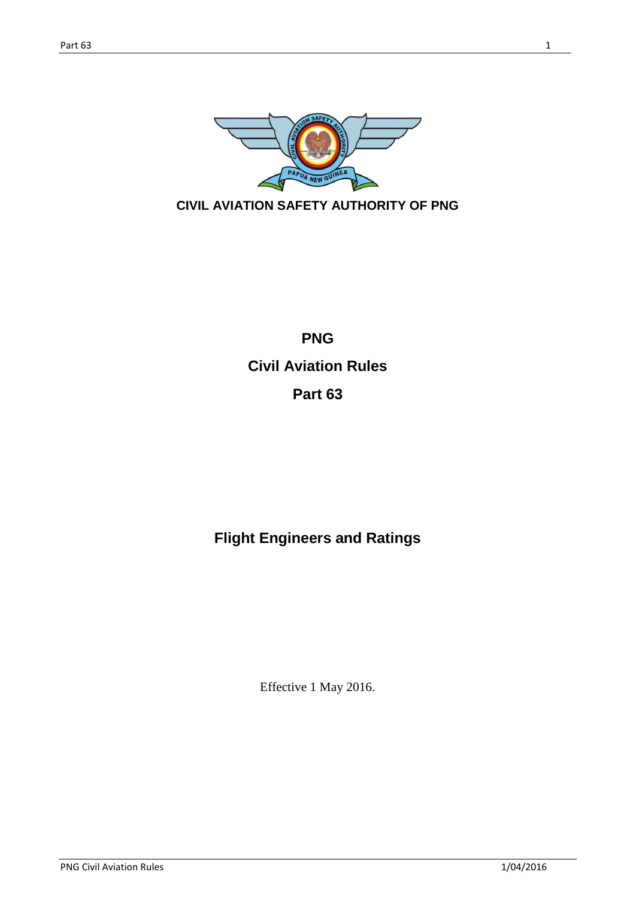

**PNG Civil Aviation Rules Part 63**

# **Flight Engineers and Ratings**

Effective 1 May 2016.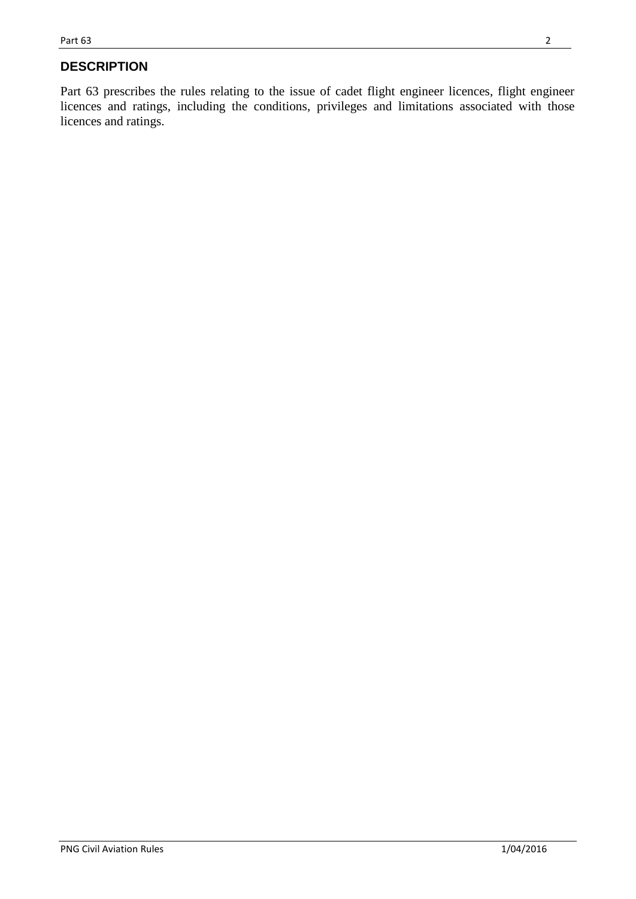## **DESCRIPTION**

Part 63 prescribes the rules relating to the issue of cadet flight engineer licences, flight engineer licences and ratings, including the conditions, privileges and limitations associated with those licences and ratings.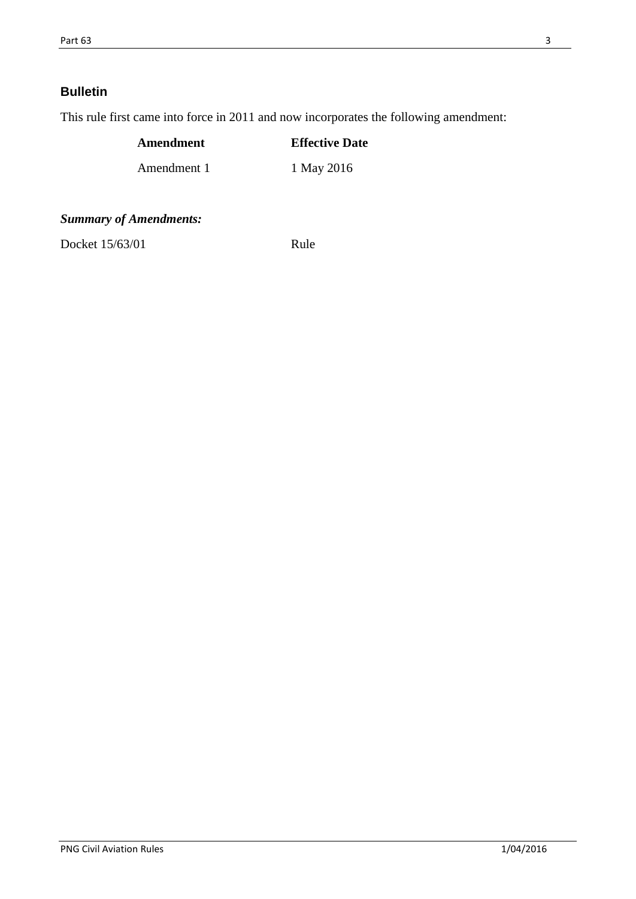## **Bulletin**

This rule first came into force in 2011 and now incorporates the following amendment:

| Amendment   | <b>Effective Date</b> |
|-------------|-----------------------|
| Amendment 1 | 1 May 2016            |

*Summary of Amendments:*

Docket  $15/63/01$  Rule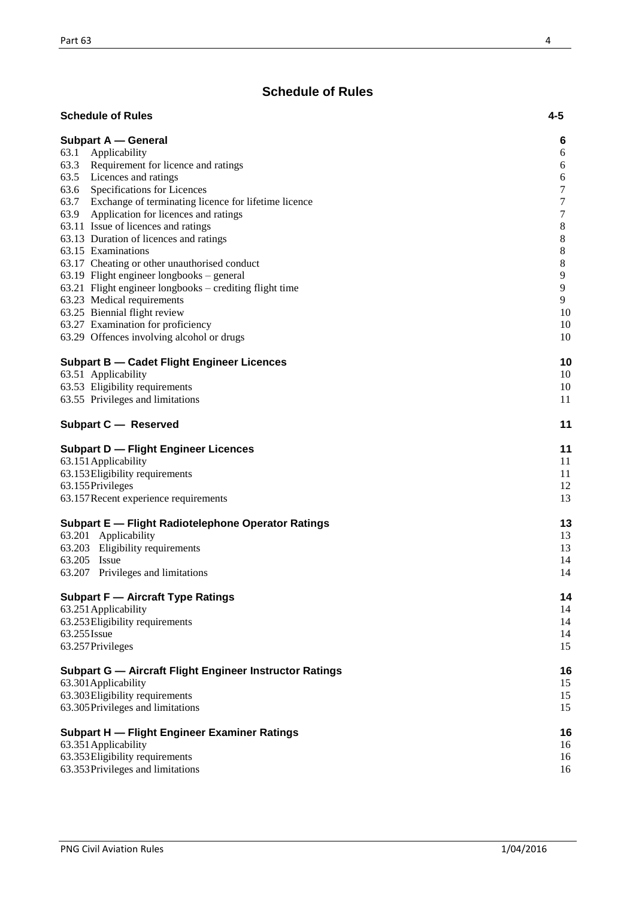## **Schedule of Rules**

| <b>Schedule of Rules</b>                                                         | $4 - 5$                   |
|----------------------------------------------------------------------------------|---------------------------|
| <b>Subpart A – General</b>                                                       | 6                         |
| Applicability<br>63.1                                                            | 6                         |
| Requirement for licence and ratings<br>63.3                                      | $\sqrt{6}$                |
| 63.5 Licences and ratings                                                        | $\sqrt{6}$                |
| 63.6 Specifications for Licences                                                 | $\boldsymbol{7}$          |
| 63.7 Exchange of terminating licence for lifetime licence                        | $\boldsymbol{7}$          |
| 63.9 Application for licences and ratings<br>63.11 Issue of licences and ratings | $\boldsymbol{7}$<br>$8\,$ |
| 63.13 Duration of licences and ratings                                           | $8\,$                     |
| 63.15 Examinations                                                               | $8\,$                     |
| 63.17 Cheating or other unauthorised conduct                                     | $8\,$                     |
| 63.19 Flight engineer longbooks – general                                        | $\boldsymbol{9}$          |
| 63.21 Flight engineer longbooks – crediting flight time                          | 9                         |
| 63.23 Medical requirements                                                       | 9                         |
| 63.25 Biennial flight review                                                     | 10                        |
| 63.27 Examination for proficiency                                                | 10                        |
| 63.29 Offences involving alcohol or drugs                                        | 10                        |
| <b>Subpart B - Cadet Flight Engineer Licences</b>                                | 10                        |
| 63.51 Applicability                                                              | 10                        |
| 63.53 Eligibility requirements                                                   | 10                        |
| 63.55 Privileges and limitations                                                 | 11                        |
| Subpart C - Reserved                                                             | 11                        |
| <b>Subpart D - Flight Engineer Licences</b>                                      | 11                        |
| 63.151 Applicability                                                             | 11                        |
| 63.153 Eligibility requirements                                                  | 11                        |
| 63.155 Privileges                                                                | 12<br>13                  |
| 63.157 Recent experience requirements                                            |                           |
| Subpart E - Flight Radiotelephone Operator Ratings                               | 13                        |
| 63.201 Applicability                                                             | 13                        |
| 63.203 Eligibility requirements                                                  | 13                        |
| 63.205 Issue                                                                     | 14                        |
| 63.207 Privileges and limitations                                                | 14                        |
| <b>Subpart F - Aircraft Type Ratings</b>                                         | 14                        |
| 63.251 Applicability                                                             | 14                        |
| 63.253 Eligibility requirements<br>63.255 Issue                                  | 14                        |
| 63.257 Privileges                                                                | 14<br>15                  |
|                                                                                  |                           |
| Subpart G - Aircraft Flight Engineer Instructor Ratings                          | 16                        |
| 63.301 Applicability<br>63.303 Eligibility requirements                          | 15<br>15                  |
| 63.305 Privileges and limitations                                                | 15                        |
| Subpart H - Flight Engineer Examiner Ratings                                     | 16                        |
| 63.351 Applicability                                                             | 16                        |
| 63.353 Eligibility requirements                                                  | 16                        |
| 63.353 Privileges and limitations                                                | 16                        |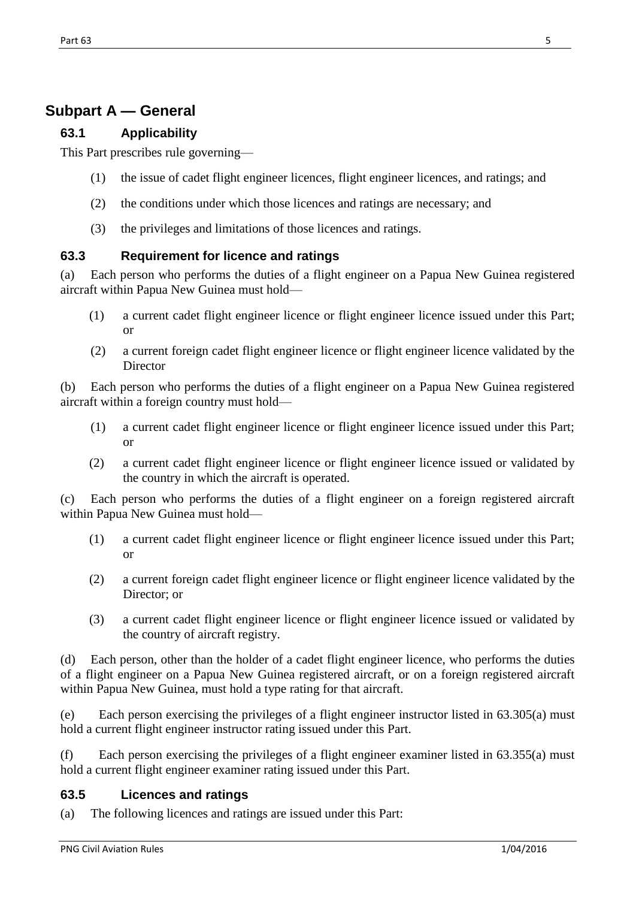## **Subpart A — General**

### **63.1 Applicability**

This Part prescribes rule governing—

- (1) the issue of cadet flight engineer licences, flight engineer licences, and ratings; and
- (2) the conditions under which those licences and ratings are necessary; and
- (3) the privileges and limitations of those licences and ratings.

### **63.3 Requirement for licence and ratings**

(a) Each person who performs the duties of a flight engineer on a Papua New Guinea registered aircraft within Papua New Guinea must hold—

- (1) a current cadet flight engineer licence or flight engineer licence issued under this Part; or
- (2) a current foreign cadet flight engineer licence or flight engineer licence validated by the **Director**

(b) Each person who performs the duties of a flight engineer on a Papua New Guinea registered aircraft within a foreign country must hold—

- (1) a current cadet flight engineer licence or flight engineer licence issued under this Part; or
- (2) a current cadet flight engineer licence or flight engineer licence issued or validated by the country in which the aircraft is operated.

(c) Each person who performs the duties of a flight engineer on a foreign registered aircraft within Papua New Guinea must hold—

- (1) a current cadet flight engineer licence or flight engineer licence issued under this Part; or
- (2) a current foreign cadet flight engineer licence or flight engineer licence validated by the Director; or
- (3) a current cadet flight engineer licence or flight engineer licence issued or validated by the country of aircraft registry.

(d) Each person, other than the holder of a cadet flight engineer licence, who performs the duties of a flight engineer on a Papua New Guinea registered aircraft, or on a foreign registered aircraft within Papua New Guinea, must hold a type rating for that aircraft.

(e) Each person exercising the privileges of a flight engineer instructor listed in 63.305(a) must hold a current flight engineer instructor rating issued under this Part.

(f) Each person exercising the privileges of a flight engineer examiner listed in 63.355(a) must hold a current flight engineer examiner rating issued under this Part.

### **63.5 Licences and ratings**

(a) The following licences and ratings are issued under this Part: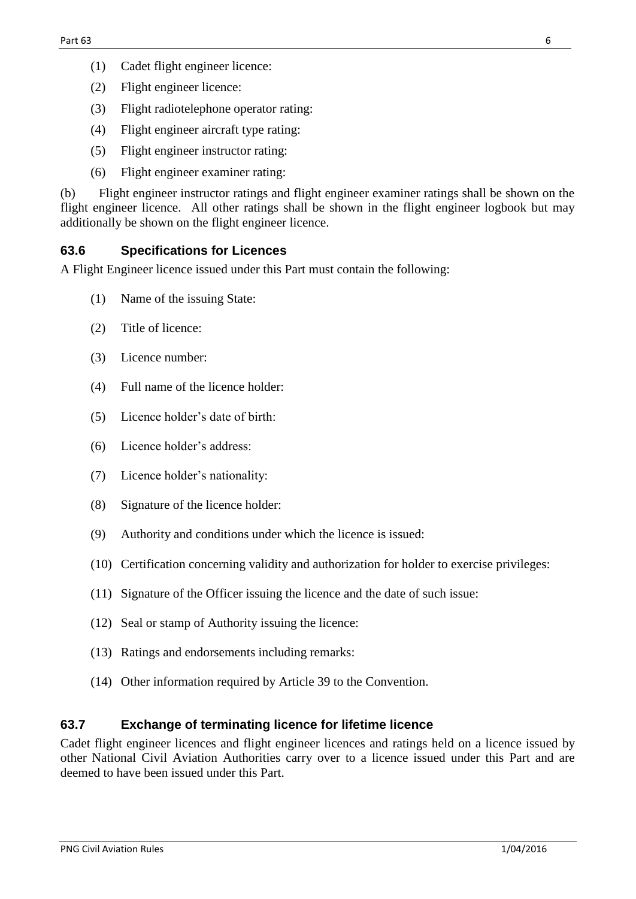- (1) Cadet flight engineer licence:
- (2) Flight engineer licence:
- (3) Flight radiotelephone operator rating:
- (4) Flight engineer aircraft type rating:
- (5) Flight engineer instructor rating:
- (6) Flight engineer examiner rating:

(b) Flight engineer instructor ratings and flight engineer examiner ratings shall be shown on the flight engineer licence. All other ratings shall be shown in the flight engineer logbook but may additionally be shown on the flight engineer licence.

## **63.6 Specifications for Licences**

A Flight Engineer licence issued under this Part must contain the following:

- (1) Name of the issuing State:
- (2) Title of licence:
- (3) Licence number:
- (4) Full name of the licence holder:
- (5) Licence holder's date of birth:
- (6) Licence holder's address:
- (7) Licence holder's nationality:
- (8) Signature of the licence holder:
- (9) Authority and conditions under which the licence is issued:
- (10) Certification concerning validity and authorization for holder to exercise privileges:
- (11) Signature of the Officer issuing the licence and the date of such issue:
- (12) Seal or stamp of Authority issuing the licence:
- (13) Ratings and endorsements including remarks:
- (14) Other information required by Article 39 to the Convention.

## **63.7 Exchange of terminating licence for lifetime licence**

Cadet flight engineer licences and flight engineer licences and ratings held on a licence issued by other National Civil Aviation Authorities carry over to a licence issued under this Part and are deemed to have been issued under this Part.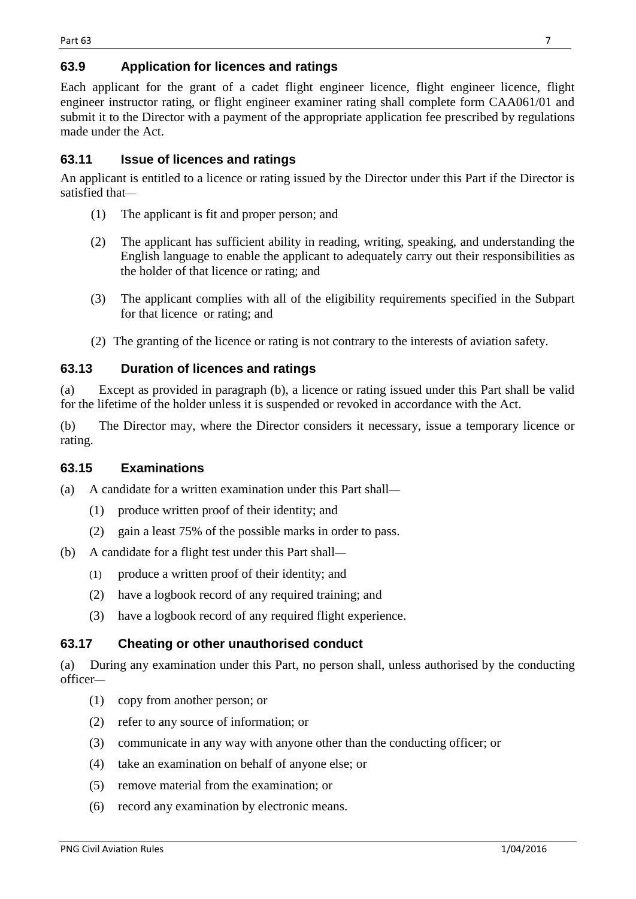## **63.9 Application for licences and ratings**

Each applicant for the grant of a cadet flight engineer licence, flight engineer licence, flight engineer instructor rating, or flight engineer examiner rating shall complete form CAA061/01 and submit it to the Director with a payment of the appropriate application fee prescribed by regulations made under the Act.

### **63.11 Issue of licences and ratings**

An applicant is entitled to a licence or rating issued by the Director under this Part if the Director is satisfied that—

- (1) The applicant is fit and proper person; and
- (2) The applicant has sufficient ability in reading, writing, speaking, and understanding the English language to enable the applicant to adequately carry out their responsibilities as the holder of that licence or rating; and
- (3) The applicant complies with all of the eligibility requirements specified in the Subpart for that licence or rating; and
- (2) The granting of the licence or rating is not contrary to the interests of aviation safety.

### **63.13 Duration of licences and ratings**

(a) Except as provided in paragraph (b), a licence or rating issued under this Part shall be valid for the lifetime of the holder unless it is suspended or revoked in accordance with the Act.

(b) The Director may, where the Director considers it necessary, issue a temporary licence or rating.

#### **63.15 Examinations**

- (a) A candidate for a written examination under this Part shall—
	- (1) produce written proof of their identity; and
	- (2) gain a least 75% of the possible marks in order to pass.
- (b) A candidate for a flight test under this Part shall—
	- (1) produce a written proof of their identity; and
	- (2) have a logbook record of any required training; and
	- (3) have a logbook record of any required flight experience.

### **63.17 Cheating or other unauthorised conduct**

(a) During any examination under this Part, no person shall, unless authorised by the conducting officer—

- (1) copy from another person; or
- (2) refer to any source of information; or
- (3) communicate in any way with anyone other than the conducting officer; or
- (4) take an examination on behalf of anyone else; or
- (5) remove material from the examination; or
- (6) record any examination by electronic means.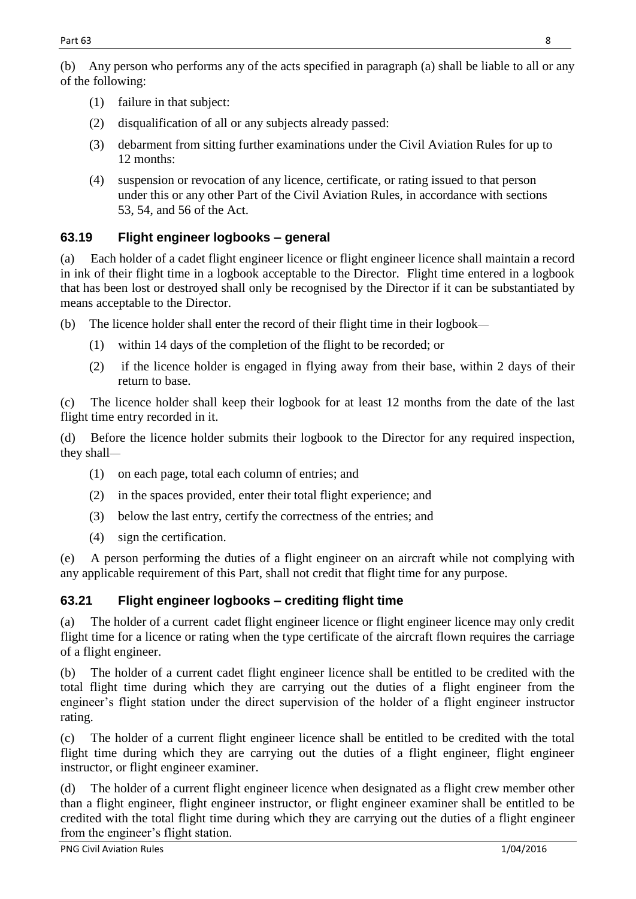- (1) failure in that subject:
- (2) disqualification of all or any subjects already passed:
- (3) debarment from sitting further examinations under the Civil Aviation Rules for up to 12 months:
- (4) suspension or revocation of any licence, certificate, or rating issued to that person under this or any other Part of the Civil Aviation Rules, in accordance with sections 53, 54, and 56 of the Act.

## **63.19 Flight engineer logbooks – general**

(a) Each holder of a cadet flight engineer licence or flight engineer licence shall maintain a record in ink of their flight time in a logbook acceptable to the Director. Flight time entered in a logbook that has been lost or destroyed shall only be recognised by the Director if it can be substantiated by means acceptable to the Director.

(b) The licence holder shall enter the record of their flight time in their logbook—

- (1) within 14 days of the completion of the flight to be recorded; or
- (2) if the licence holder is engaged in flying away from their base, within 2 days of their return to base.

(c) The licence holder shall keep their logbook for at least 12 months from the date of the last flight time entry recorded in it.

(d) Before the licence holder submits their logbook to the Director for any required inspection, they shall—

- (1) on each page, total each column of entries; and
- (2) in the spaces provided, enter their total flight experience; and
- (3) below the last entry, certify the correctness of the entries; and
- (4) sign the certification.

(e) A person performing the duties of a flight engineer on an aircraft while not complying with any applicable requirement of this Part, shall not credit that flight time for any purpose.

## **63.21 Flight engineer logbooks – crediting flight time**

(a) The holder of a current cadet flight engineer licence or flight engineer licence may only credit flight time for a licence or rating when the type certificate of the aircraft flown requires the carriage of a flight engineer.

(b) The holder of a current cadet flight engineer licence shall be entitled to be credited with the total flight time during which they are carrying out the duties of a flight engineer from the engineer's flight station under the direct supervision of the holder of a flight engineer instructor rating.

(c) The holder of a current flight engineer licence shall be entitled to be credited with the total flight time during which they are carrying out the duties of a flight engineer, flight engineer instructor, or flight engineer examiner.

(d) The holder of a current flight engineer licence when designated as a flight crew member other than a flight engineer, flight engineer instructor, or flight engineer examiner shall be entitled to be credited with the total flight time during which they are carrying out the duties of a flight engineer from the engineer's flight station.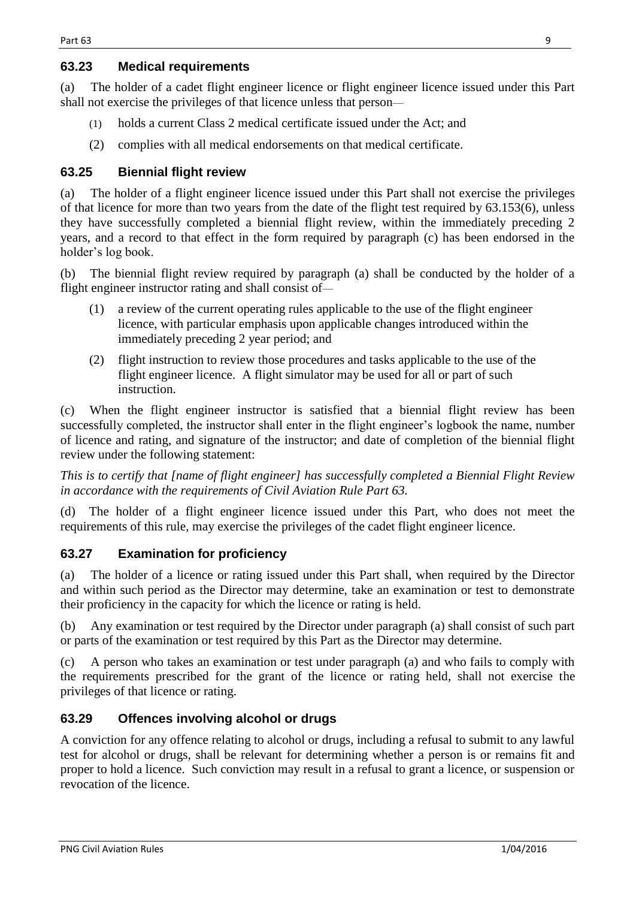## **63.23 Medical requirements**

(a) The holder of a cadet flight engineer licence or flight engineer licence issued under this Part shall not exercise the privileges of that licence unless that person—

- (1) holds a current Class 2 medical certificate issued under the Act; and
- (2) complies with all medical endorsements on that medical certificate.

## **63.25 Biennial flight review**

(a) The holder of a flight engineer licence issued under this Part shall not exercise the privileges of that licence for more than two years from the date of the flight test required by 63.153(6), unless they have successfully completed a biennial flight review, within the immediately preceding 2 years, and a record to that effect in the form required by paragraph (c) has been endorsed in the holder's log book.

(b) The biennial flight review required by paragraph (a) shall be conducted by the holder of a flight engineer instructor rating and shall consist of—

- (1) a review of the current operating rules applicable to the use of the flight engineer licence, with particular emphasis upon applicable changes introduced within the immediately preceding 2 year period; and
- (2) flight instruction to review those procedures and tasks applicable to the use of the flight engineer licence. A flight simulator may be used for all or part of such instruction.

(c) When the flight engineer instructor is satisfied that a biennial flight review has been successfully completed, the instructor shall enter in the flight engineer's logbook the name, number of licence and rating, and signature of the instructor; and date of completion of the biennial flight review under the following statement:

*This is to certify that [name of flight engineer] has successfully completed a Biennial Flight Review in accordance with the requirements of Civil Aviation Rule Part 63.*

(d) The holder of a flight engineer licence issued under this Part, who does not meet the requirements of this rule, may exercise the privileges of the cadet flight engineer licence.

## **63.27 Examination for proficiency**

(a) The holder of a licence or rating issued under this Part shall, when required by the Director and within such period as the Director may determine, take an examination or test to demonstrate their proficiency in the capacity for which the licence or rating is held.

(b) Any examination or test required by the Director under paragraph (a) shall consist of such part or parts of the examination or test required by this Part as the Director may determine.

(c) A person who takes an examination or test under paragraph (a) and who fails to comply with the requirements prescribed for the grant of the licence or rating held, shall not exercise the privileges of that licence or rating.

## **63.29 Offences involving alcohol or drugs**

A conviction for any offence relating to alcohol or drugs, including a refusal to submit to any lawful test for alcohol or drugs, shall be relevant for determining whether a person is or remains fit and proper to hold a licence. Such conviction may result in a refusal to grant a licence, or suspension or revocation of the licence.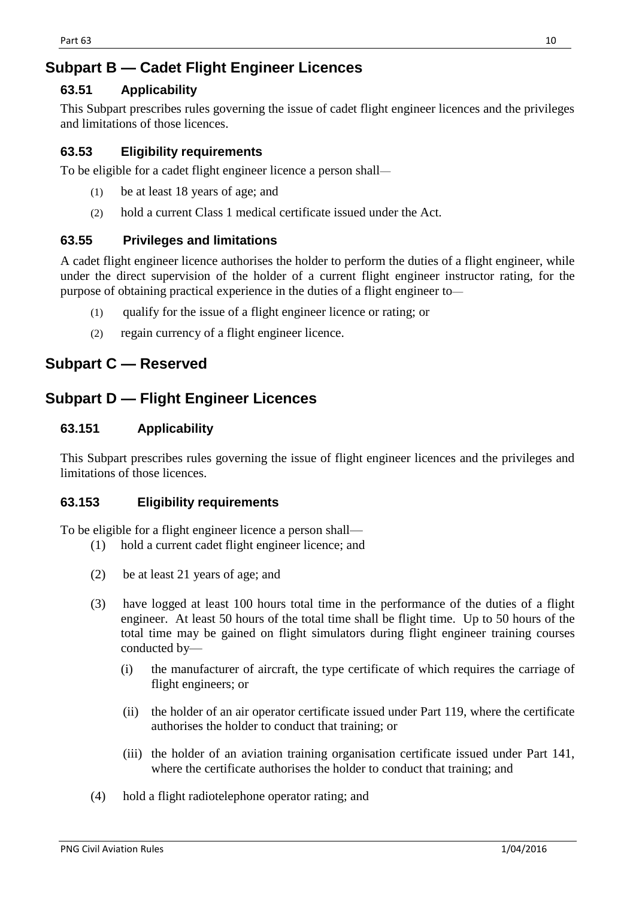## **Subpart B — Cadet Flight Engineer Licences**

## **63.51 Applicability**

This Subpart prescribes rules governing the issue of cadet flight engineer licences and the privileges and limitations of those licences.

## **63.53 Eligibility requirements**

To be eligible for a cadet flight engineer licence a person shall—

- (1) be at least 18 years of age; and
- (2) hold a current Class 1 medical certificate issued under the Act.

## **63.55 Privileges and limitations**

A cadet flight engineer licence authorises the holder to perform the duties of a flight engineer, while under the direct supervision of the holder of a current flight engineer instructor rating, for the purpose of obtaining practical experience in the duties of a flight engineer to—

- (1) qualify for the issue of a flight engineer licence or rating; or
- (2) regain currency of a flight engineer licence.

## **Subpart C — Reserved**

## **Subpart D — Flight Engineer Licences**

### **63.151 Applicability**

This Subpart prescribes rules governing the issue of flight engineer licences and the privileges and limitations of those licences.

## **63.153 Eligibility requirements**

To be eligible for a flight engineer licence a person shall—

- (1) hold a current cadet flight engineer licence; and
- (2) be at least 21 years of age; and
- (3) have logged at least 100 hours total time in the performance of the duties of a flight engineer. At least 50 hours of the total time shall be flight time. Up to 50 hours of the total time may be gained on flight simulators during flight engineer training courses conducted by—
	- (i) the manufacturer of aircraft, the type certificate of which requires the carriage of flight engineers; or
	- (ii) the holder of an air operator certificate issued under Part 119, where the certificate authorises the holder to conduct that training; or
	- (iii) the holder of an aviation training organisation certificate issued under Part 141, where the certificate authorises the holder to conduct that training; and
- (4) hold a flight radiotelephone operator rating; and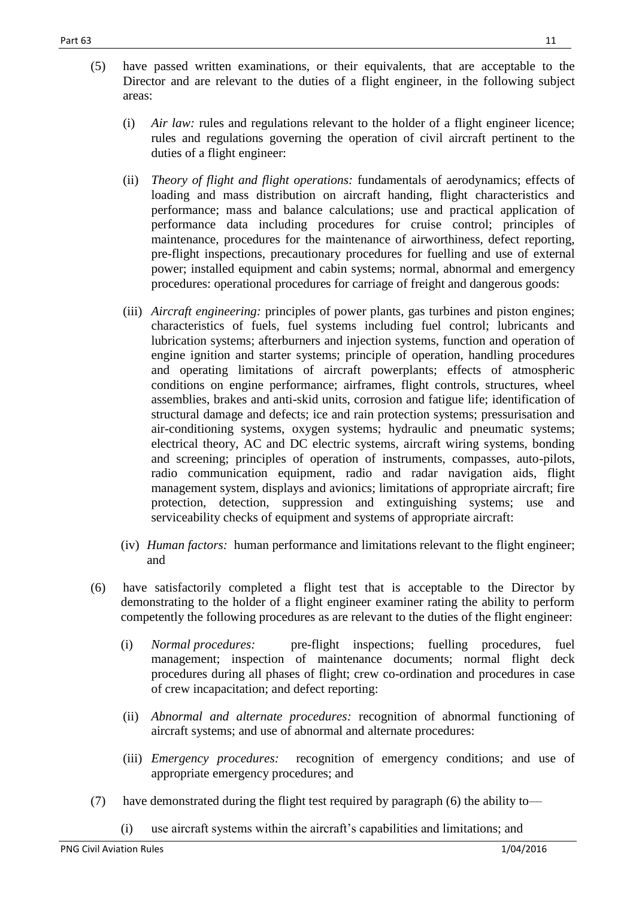- (i) *Air law:* rules and regulations relevant to the holder of a flight engineer licence; rules and regulations governing the operation of civil aircraft pertinent to the duties of a flight engineer:
- (ii) *Theory of flight and flight operations:* fundamentals of aerodynamics; effects of loading and mass distribution on aircraft handing, flight characteristics and performance; mass and balance calculations; use and practical application of performance data including procedures for cruise control; principles of maintenance, procedures for the maintenance of airworthiness, defect reporting, pre-flight inspections, precautionary procedures for fuelling and use of external power; installed equipment and cabin systems; normal, abnormal and emergency procedures: operational procedures for carriage of freight and dangerous goods:
- (iii) *Aircraft engineering:* principles of power plants, gas turbines and piston engines; characteristics of fuels, fuel systems including fuel control; lubricants and lubrication systems; afterburners and injection systems, function and operation of engine ignition and starter systems; principle of operation, handling procedures and operating limitations of aircraft powerplants; effects of atmospheric conditions on engine performance; airframes, flight controls, structures, wheel assemblies, brakes and anti-skid units, corrosion and fatigue life; identification of structural damage and defects; ice and rain protection systems; pressurisation and air-conditioning systems, oxygen systems; hydraulic and pneumatic systems; electrical theory, AC and DC electric systems, aircraft wiring systems, bonding and screening; principles of operation of instruments, compasses, auto-pilots, radio communication equipment, radio and radar navigation aids, flight management system, displays and avionics; limitations of appropriate aircraft; fire protection, detection, suppression and extinguishing systems; use and serviceability checks of equipment and systems of appropriate aircraft:
- (iv) *Human factors:* human performance and limitations relevant to the flight engineer; and
- (6) have satisfactorily completed a flight test that is acceptable to the Director by demonstrating to the holder of a flight engineer examiner rating the ability to perform competently the following procedures as are relevant to the duties of the flight engineer:
	- (i) *Normal procedures:* pre-flight inspections; fuelling procedures, fuel management; inspection of maintenance documents; normal flight deck procedures during all phases of flight; crew co-ordination and procedures in case of crew incapacitation; and defect reporting:
	- (ii) *Abnormal and alternate procedures:* recognition of abnormal functioning of aircraft systems; and use of abnormal and alternate procedures:
	- (iii) *Emergency procedures:* recognition of emergency conditions; and use of appropriate emergency procedures; and
- (7) have demonstrated during the flight test required by paragraph (6) the ability to—
	- (i) use aircraft systems within the aircraft's capabilities and limitations; and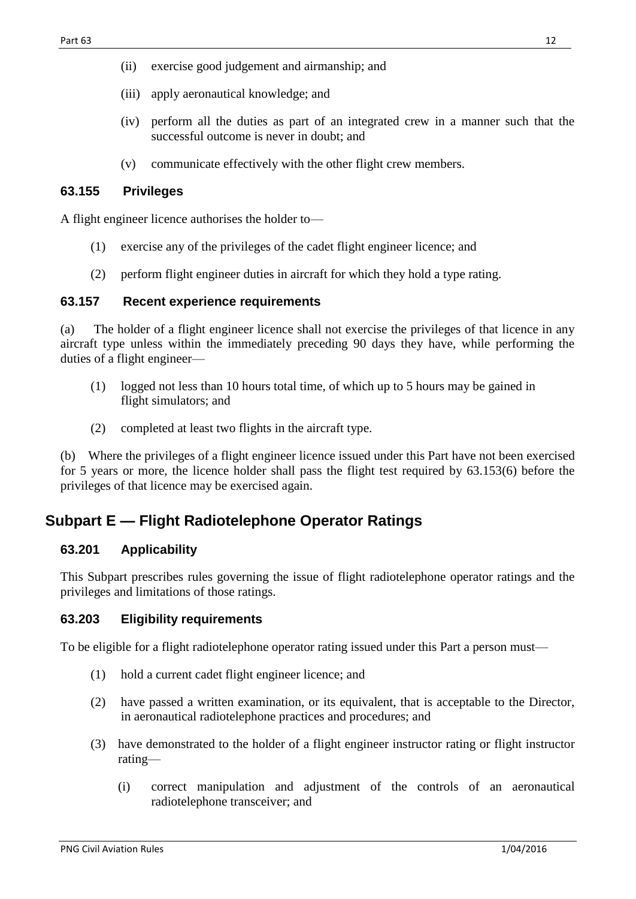- (ii) exercise good judgement and airmanship; and
- (iii) apply aeronautical knowledge; and
- (iv) perform all the duties as part of an integrated crew in a manner such that the successful outcome is never in doubt; and
- (v) communicate effectively with the other flight crew members.

### **63.155 Privileges**

A flight engineer licence authorises the holder to—

- (1) exercise any of the privileges of the cadet flight engineer licence; and
- (2) perform flight engineer duties in aircraft for which they hold a type rating.

#### **63.157 Recent experience requirements**

(a) The holder of a flight engineer licence shall not exercise the privileges of that licence in any aircraft type unless within the immediately preceding 90 days they have, while performing the duties of a flight engineer—

- (1) logged not less than 10 hours total time, of which up to 5 hours may be gained in flight simulators; and
- (2) completed at least two flights in the aircraft type.

(b) Where the privileges of a flight engineer licence issued under this Part have not been exercised for 5 years or more, the licence holder shall pass the flight test required by 63.153(6) before the privileges of that licence may be exercised again.

## **Subpart E — Flight Radiotelephone Operator Ratings**

### **63.201 Applicability**

This Subpart prescribes rules governing the issue of flight radiotelephone operator ratings and the privileges and limitations of those ratings.

### **63.203 Eligibility requirements**

To be eligible for a flight radiotelephone operator rating issued under this Part a person must—

- (1) hold a current cadet flight engineer licence; and
- (2) have passed a written examination, or its equivalent, that is acceptable to the Director, in aeronautical radiotelephone practices and procedures; and
- (3) have demonstrated to the holder of a flight engineer instructor rating or flight instructor rating—
	- (i) correct manipulation and adjustment of the controls of an aeronautical radiotelephone transceiver; and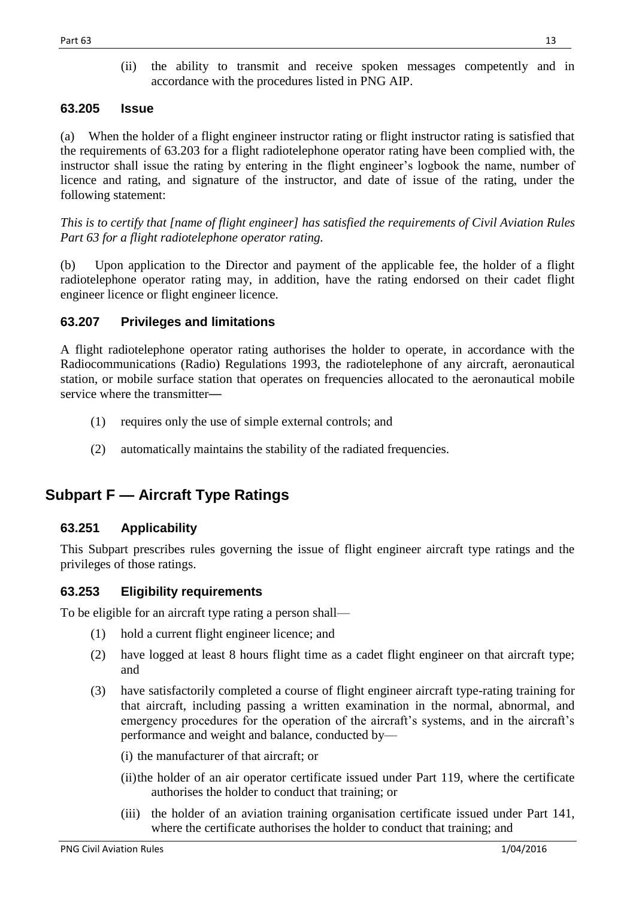(ii) the ability to transmit and receive spoken messages competently and in accordance with the procedures listed in PNG AIP.

#### **63.205 Issue**

(a) When the holder of a flight engineer instructor rating or flight instructor rating is satisfied that the requirements of 63.203 for a flight radiotelephone operator rating have been complied with, the instructor shall issue the rating by entering in the flight engineer's logbook the name, number of licence and rating, and signature of the instructor, and date of issue of the rating, under the following statement:

*This is to certify that [name of flight engineer] has satisfied the requirements of Civil Aviation Rules Part 63 for a flight radiotelephone operator rating.*

(b) Upon application to the Director and payment of the applicable fee, the holder of a flight radiotelephone operator rating may, in addition, have the rating endorsed on their cadet flight engineer licence or flight engineer licence.

### **63.207 Privileges and limitations**

A flight radiotelephone operator rating authorises the holder to operate, in accordance with the Radiocommunications (Radio) Regulations 1993, the radiotelephone of any aircraft, aeronautical station, or mobile surface station that operates on frequencies allocated to the aeronautical mobile service where the transmitter—

- (1) requires only the use of simple external controls; and
- (2) automatically maintains the stability of the radiated frequencies.

## **Subpart F — Aircraft Type Ratings**

### **63.251 Applicability**

This Subpart prescribes rules governing the issue of flight engineer aircraft type ratings and the privileges of those ratings.

### **63.253 Eligibility requirements**

To be eligible for an aircraft type rating a person shall—

- (1) hold a current flight engineer licence; and
- (2) have logged at least 8 hours flight time as a cadet flight engineer on that aircraft type; and
- (3) have satisfactorily completed a course of flight engineer aircraft type-rating training for that aircraft, including passing a written examination in the normal, abnormal, and emergency procedures for the operation of the aircraft's systems, and in the aircraft's performance and weight and balance, conducted by—
	- (i) the manufacturer of that aircraft; or
	- (ii)the holder of an air operator certificate issued under Part 119, where the certificate authorises the holder to conduct that training; or
	- (iii) the holder of an aviation training organisation certificate issued under Part 141, where the certificate authorises the holder to conduct that training; and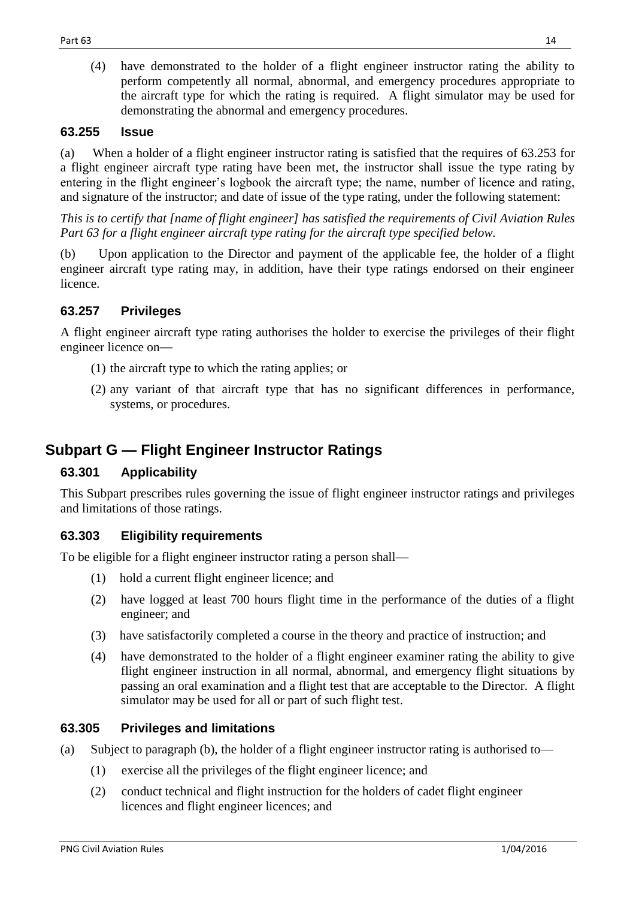(4) have demonstrated to the holder of a flight engineer instructor rating the ability to perform competently all normal, abnormal, and emergency procedures appropriate to the aircraft type for which the rating is required. A flight simulator may be used for demonstrating the abnormal and emergency procedures.

#### **63.255 Issue**

(a) When a holder of a flight engineer instructor rating is satisfied that the requires of 63.253 for a flight engineer aircraft type rating have been met, the instructor shall issue the type rating by entering in the flight engineer's logbook the aircraft type; the name, number of licence and rating, and signature of the instructor; and date of issue of the type rating, under the following statement:

*This is to certify that [name of flight engineer] has satisfied the requirements of Civil Aviation Rules Part 63 for a flight engineer aircraft type rating for the aircraft type specified below.*

(b) Upon application to the Director and payment of the applicable fee, the holder of a flight engineer aircraft type rating may, in addition, have their type ratings endorsed on their engineer licence.

### **63.257 Privileges**

A flight engineer aircraft type rating authorises the holder to exercise the privileges of their flight engineer licence on—

- (1) the aircraft type to which the rating applies; or
- (2) any variant of that aircraft type that has no significant differences in performance, systems, or procedures.

## **Subpart G — Flight Engineer Instructor Ratings**

### **63.301 Applicability**

This Subpart prescribes rules governing the issue of flight engineer instructor ratings and privileges and limitations of those ratings.

### **63.303 Eligibility requirements**

To be eligible for a flight engineer instructor rating a person shall—

- (1) hold a current flight engineer licence; and
- (2) have logged at least 700 hours flight time in the performance of the duties of a flight engineer; and
- (3) have satisfactorily completed a course in the theory and practice of instruction; and
- (4) have demonstrated to the holder of a flight engineer examiner rating the ability to give flight engineer instruction in all normal, abnormal, and emergency flight situations by passing an oral examination and a flight test that are acceptable to the Director. A flight simulator may be used for all or part of such flight test.

#### **63.305 Privileges and limitations**

- (a) Subject to paragraph (b), the holder of a flight engineer instructor rating is authorised to—
	- (1) exercise all the privileges of the flight engineer licence; and
	- (2) conduct technical and flight instruction for the holders of cadet flight engineer licences and flight engineer licences; and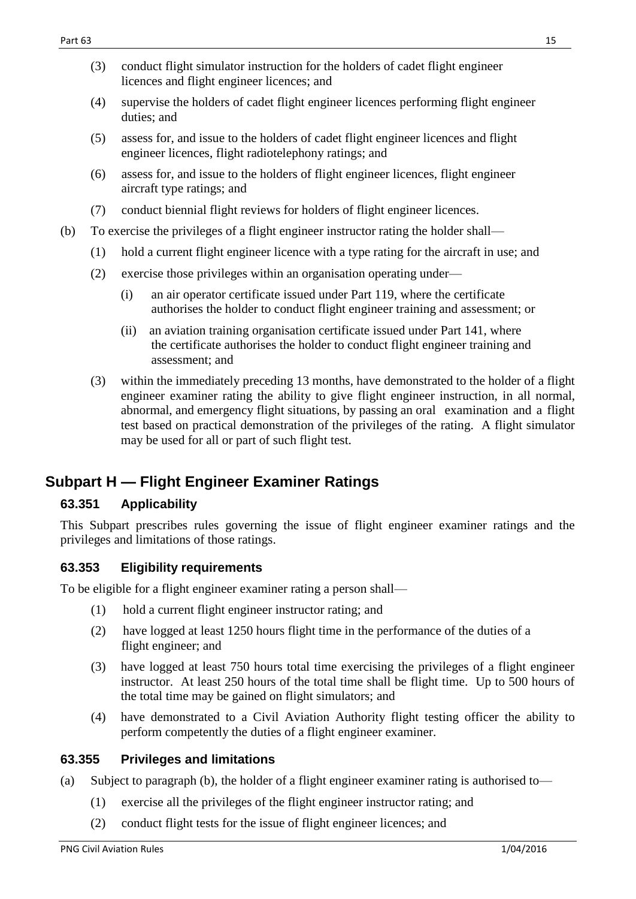- (3) conduct flight simulator instruction for the holders of cadet flight engineer licences and flight engineer licences; and
- (4) supervise the holders of cadet flight engineer licences performing flight engineer duties; and
- (5) assess for, and issue to the holders of cadet flight engineer licences and flight engineer licences, flight radiotelephony ratings; and
- (6) assess for, and issue to the holders of flight engineer licences, flight engineer aircraft type ratings; and
- (7) conduct biennial flight reviews for holders of flight engineer licences.
- (b) To exercise the privileges of a flight engineer instructor rating the holder shall—
	- (1) hold a current flight engineer licence with a type rating for the aircraft in use; and
	- (2) exercise those privileges within an organisation operating under—
		- (i) an air operator certificate issued under Part 119, where the certificate authorises the holder to conduct flight engineer training and assessment; or
		- (ii) an aviation training organisation certificate issued under Part 141, where the certificate authorises the holder to conduct flight engineer training and assessment; and
	- (3) within the immediately preceding 13 months, have demonstrated to the holder of a flight engineer examiner rating the ability to give flight engineer instruction, in all normal, abnormal, and emergency flight situations, by passing an oral examination and a flight test based on practical demonstration of the privileges of the rating. A flight simulator may be used for all or part of such flight test.

## **Subpart H — Flight Engineer Examiner Ratings**

## **63.351 Applicability**

This Subpart prescribes rules governing the issue of flight engineer examiner ratings and the privileges and limitations of those ratings.

## **63.353 Eligibility requirements**

To be eligible for a flight engineer examiner rating a person shall—

- (1) hold a current flight engineer instructor rating; and
- (2) have logged at least 1250 hours flight time in the performance of the duties of a flight engineer; and
- (3) have logged at least 750 hours total time exercising the privileges of a flight engineer instructor. At least 250 hours of the total time shall be flight time. Up to 500 hours of the total time may be gained on flight simulators; and
- (4) have demonstrated to a Civil Aviation Authority flight testing officer the ability to perform competently the duties of a flight engineer examiner.

## **63.355 Privileges and limitations**

(a) Subject to paragraph (b), the holder of a flight engineer examiner rating is authorised to—

- (1) exercise all the privileges of the flight engineer instructor rating; and
- (2) conduct flight tests for the issue of flight engineer licences; and